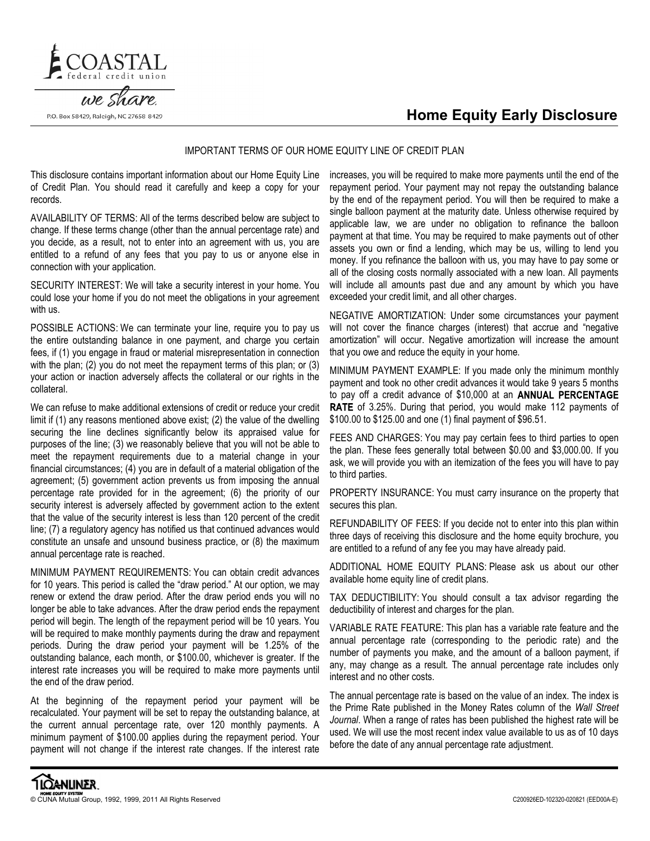



## we share. P.O. Box 58429, Raleigh, NC 27658-8429

## IMPORTANT TERMS OF OUR HOME EQUITY LINE OF CREDIT PLAN

This disclosure contains important information about our Home Equity Line of Credit Plan. You should read it carefully and keep a copy for your records.

AVAILABILITY OF TERMS: All of the terms described below are subject to change. If these terms change (other than the annual percentage rate) and you decide, as a result, not to enter into an agreement with us, you are entitled to a refund of any fees that you pay to us or anyone else in connection with your application.

SECURITY INTEREST: We will take a security interest in your home. You could lose your home if you do not meet the obligations in your agreement with us.

POSSIBLE ACTIONS: We can terminate your line, require you to pay us the entire outstanding balance in one payment, and charge you certain fees, if (1) you engage in fraud or material misrepresentation in connection with the plan; (2) you do not meet the repayment terms of this plan; or (3) your action or inaction adversely affects the collateral or our rights in the collateral.

We can refuse to make additional extensions of credit or reduce your credit limit if (1) any reasons mentioned above exist; (2) the value of the dwelling securing the line declines significantly below its appraised value for purposes of the line; (3) we reasonably believe that you will not be able to meet the repayment requirements due to a material change in your financial circumstances; (4) you are in default of a material obligation of the agreement; (5) government action prevents us from imposing the annual percentage rate provided for in the agreement; (6) the priority of our security interest is adversely affected by government action to the extent that the value of the security interest is less than 120 percent of the credit line; (7) a regulatory agency has notified us that continued advances would constitute an unsafe and unsound business practice, or (8) the maximum annual percentage rate is reached.

MINIMUM PAYMENT REQUIREMENTS: You can obtain credit advances for 10 years. This period is called the "draw period." At our option, we may renew or extend the draw period. After the draw period ends you will no longer be able to take advances. After the draw period ends the repayment period will begin. The length of the repayment period will be 10 years. You will be required to make monthly payments during the draw and repayment periods. During the draw period your payment will be 1.25% of the outstanding balance, each month, or \$100.00, whichever is greater. If the interest rate increases you will be required to make more payments until the end of the draw period.

At the beginning of the repayment period your payment will be recalculated. Your payment will be set to repay the outstanding balance, at the current annual percentage rate, over 120 monthly payments. A minimum payment of \$100.00 applies during the repayment period. Your payment will not change if the interest rate changes. If the interest rate

increases, you will be required to make more payments until the end of the repayment period. Your payment may not repay the outstanding balance by the end of the repayment period. You will then be required to make a single balloon payment at the maturity date. Unless otherwise required by applicable law, we are under no obligation to refinance the balloon payment at that time. You may be required to make payments out of other assets you own or find a lending, which may be us, willing to lend you money. If you refinance the balloon with us, you may have to pay some or all of the closing costs normally associated with a new loan. All payments will include all amounts past due and any amount by which you have exceeded your credit limit, and all other charges.

NEGATIVE AMORTIZATION: Under some circumstances your payment will not cover the finance charges (interest) that accrue and "negative amortization" will occur. Negative amortization will increase the amount that you owe and reduce the equity in your home.

MINIMUM PAYMENT EXAMPLE: If you made only the minimum monthly payment and took no other credit advances it would take 9 years 5 months to pay off a credit advance of \$10,000 at an ANNUAL PERCENTAGE RATE of 3.25%. During that period, you would make 112 payments of \$100.00 to \$125.00 and one (1) final payment of \$96.51.

FEES AND CHARGES: You may pay certain fees to third parties to open the plan. These fees generally total between \$0.00 and \$3,000.00. If you ask, we will provide you with an itemization of the fees you will have to pay to third parties.

PROPERTY INSURANCE: You must carry insurance on the property that secures this plan.

REFUNDABILITY OF FEES: If you decide not to enter into this plan within three days of receiving this disclosure and the home equity brochure, you are entitled to a refund of any fee you may have already paid.

ADDITIONAL HOME EQUITY PLANS: Please ask us about our other available home equity line of credit plans.

TAX DEDUCTIBILITY: You should consult a tax advisor regarding the deductibility of interest and charges for the plan.

VARIABLE RATE FEATURE: This plan has a variable rate feature and the annual percentage rate (corresponding to the periodic rate) and the number of payments you make, and the amount of a balloon payment, if any, may change as a result. The annual percentage rate includes only interest and no other costs.

The annual percentage rate is based on the value of an index. The index is the Prime Rate published in the Money Rates column of the Wall Street Journal. When a range of rates has been published the highest rate will be used. We will use the most recent index value available to us as of 10 days before the date of any annual percentage rate adjustment.